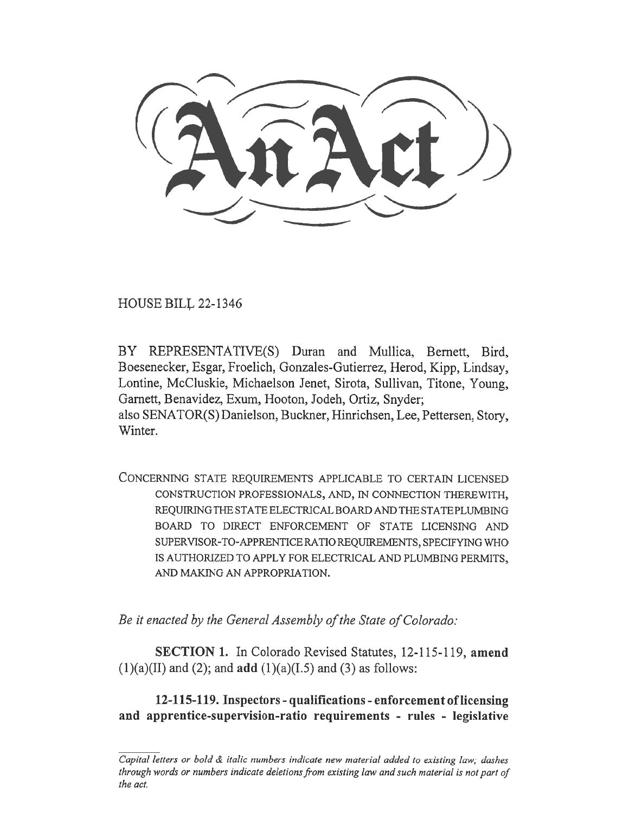HOUSE BILL 22-1346

BY REPRESENTATIVE(S) Duran and Mullica, Bernett, Bird, Boesenecker, Esgar, Froelich, Gonzales-Gutierrez, Herod, Kipp, Lindsay, Lontine, McCluskie, Michaelson Jenet, Sirota, Sullivan, Titone, Young, Garnett, Benavidez, Exum, Hooton, Jodeh, Ortiz, Snyder; also SENATOR(S) Danielson, Buckner, Hinrichsen, Lee, Pettersen, Story, Winter.

CONCERNING STATE REQUIREMENTS APPLICABLE TO CERTAIN LICENSED CONSTRUCTION PROFESSIONALS, AND, IN CONNECTION THEREWITH, REQUIRING THE STATE ELECTRICAL BOARD AND THE STATE PLUMBING BOARD TO DIRECT ENFORCEMENT OF STATE LICENSING AND SUPERVISOR-TO-APPRENTICE RATIO REQUIREMENTS, SPECIFYING WHO IS AUTHORIZED TO APPLY FOR ELECTRICAL AND PLUMBING PERMITS, AND MAKING AN APPROPRIATION.

Be it enacted by the General Assembly of the State of Colorado:

SECTION 1. In Colorado Revised Statutes, 12-115-119, amend  $(1)(a)(II)$  and  $(2)$ ; and **add**  $(1)(a)(I.5)$  and  $(3)$  as follows:

12-115-119. Inspectors - qualifications - enforcement of licensing and apprentice-supervision-ratio requirements - rules - legislative

Capital letters or bold & italic numbers indicate new material added to existing law; dashes through words or numbers indicate deletions from existing law and such material is not part of the act.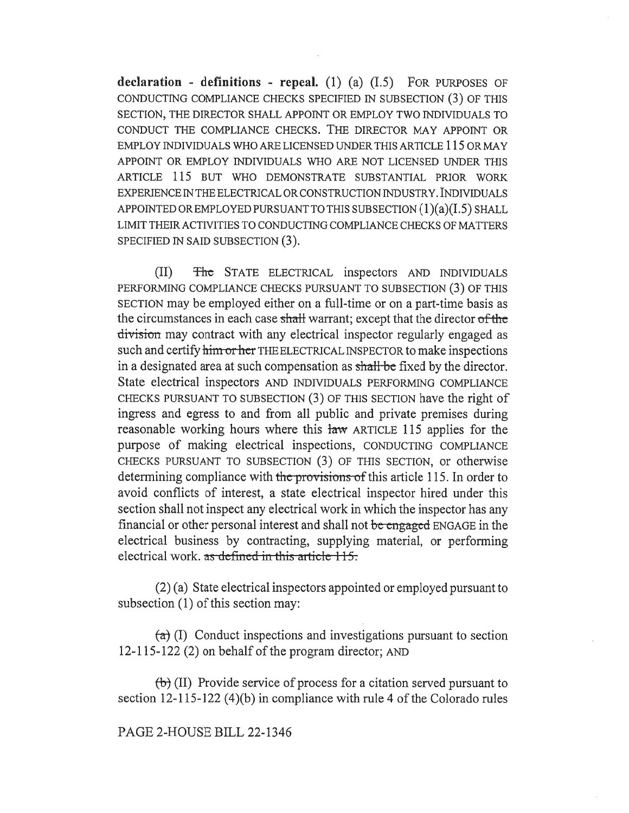declaration - definitions - repeal.  $(1)$   $(a)$   $(1.5)$  FOR PURPOSES OF CONDUCTING COMPLIANCE CHECKS SPECIFIED IN SUBSECTION (3) OF THIS SECTION, THE DIRECTOR SHALL APPOINT OR EMPLOY TWO INDIVIDUALS TO CONDUCT THE COMPLIANCE CHECKS. THE DIRECTOR MAY APPOINT OR EMPLOY INDIVIDUALS WHO ARE LICENSED UNDER THIS ARTICLE 115 OR MAY APPOINT OR EMPLOY INDIVIDUALS WHO ARE NOT LICENSED UNDER THIS ARTICLE 115 BUT WHO DEMONSTRATE SUBSTANTIAL PRIOR WORK EXPERIENCE IN THE ELECTRICAL OR CONSTRUCTION INDUSTRY. INDIVIDUALS APPOINTED OR EMPLOYED PURSUANT TO THIS SUBSECTION  $(1)(a)(I.5)$  SHALL LIMIT THEIR ACTIVITIES TO CONDUCTING COMPLIANCE CHECKS OF MATTERS SPECIFIED IN SAID SUBSECTION (3).

(II) The STATE ELECTRICAL inspectors AND INDIVIDUALS PERFORMING COMPLIANCE CHECKS PURSUANT TO SUBSECTION (3) OF THIS SECTION may be employed either on a full-time or on a part-time basis as the circumstances in each case shall warrant; except that the director of the division may contract with any electrical inspector regularly engaged as such and certify him or her THE ELECTRICAL INSPECTOR to make inspections in a designated area at such compensation as shall be fixed by the director. State electrical inspectors AND INDIVIDUALS PERFORMING COMPLIANCE CHECKS PURSUANT TO SUBSECTION (3) OF THIS SECTION have the right of ingress and egress to and from all public and private premises during reasonable working hours where this law ARTICLE 115 applies for the purpose of making electrical inspections, CONDUCTING COMPLIANCE CHECKS PURSUANT TO SUBSECTION (3) OF THIS SECTION, or otherwise determining compliance with the provisions of this article 115. In order to avoid conflicts of interest, a state electrical inspector hired under this section shall not inspect any electrical work in which the inspector has any financial or other personal interest and shall not be engaged ENGAGE in the electrical business by contracting, supplying material, or performing electrical work, as defined in this article  $115$ .

(2) (a) State electrical inspectors appointed or employed pursuant to subsection (1) of this section may:

 $(a)$  (I) Conduct inspections and investigations pursuant to section 12-115-122 (2) on behalf of the program director; AND

 $(b)$  (II) Provide service of process for a citation served pursuant to section 12-115-122 (4)(b) in compliance with rule 4 of the Colorado rules

#### PAGE 2-HOUSE BILL 22-1346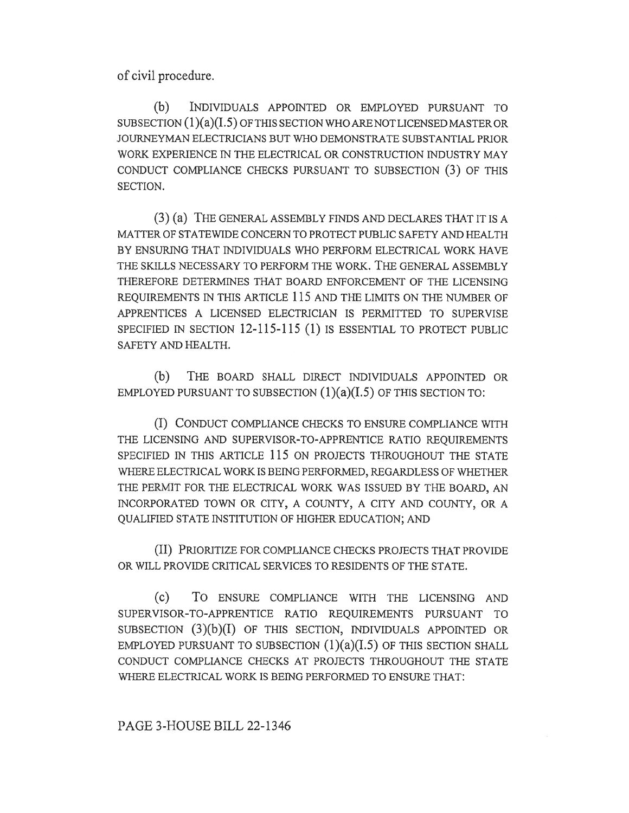of civil procedure.

(b) INDIVIDUALS APPOINTED OR EMPLOYED PURSUANT TO SUBSECTION  $(1)(a)(I.5)$  OF THIS SECTION WHO ARE NOT LICENSED MASTER OR JOURNEYMAN ELECTRICIANS BUT WHO DEMONSTRATE SUBSTANTIAL PRIOR WORK EXPERIENCE IN THE ELECTRICAL OR CONSTRUCTION INDUSTRY MAY CONDUCT COMPLIANCE CHECKS PURSUANT TO SUBSECTION (3) OF THIS SECTION.

(3) (a) THE GENERAL ASSEMBLY FINDS AND DECLARES THAT IT IS A MATTER OF STATEWIDE CONCERN TO PROTECT PUBLIC SAFETY AND HEALTH BY ENSURING THAT INDIVIDUALS WHO PERFORM ELECTRICAL WORK HAVE THE SKILLS NECESSARY TO PERFORM THE WORK. THE GENERAL ASSEMBLY THEREFORE DETERMINES THAT BOARD ENFORCEMENT OF THE LICENSING REQUIREMENTS IN THIS ARTICLE 115 AND THE LIMITS ON THE NUMBER OF APPRENTICES A LICENSED ELECTRICIAN IS PERMITTED TO SUPERVISE SPECIFIED IN SECTION 12-115-115 (1) IS ESSENTIAL TO PROTECT PUBLIC SAFETY AND HEALTH.

(b) THE BOARD SHALL DIRECT INDIVIDUALS APPOINTED OR EMPLOYED PURSUANT TO SUBSECTION  $(1)(a)(I.5)$  OF THIS SECTION TO:

(I) CONDUCT COMPLIANCE CHECKS TO ENSURE COMPLIANCE WITH THE LICENSING AND SUPERVISOR-TO-APPRENTICE RATIO REQUIREMENTS SPECIFIED IN THIS ARTICLE 115 ON PROJECTS THROUGHOUT THE STATE WHERE ELECTRICAL WORK IS BEING PERFORMED, REGARDLESS OF WHETHER THE PERMIT FOR THE ELECTRICAL WORK WAS ISSUED BY THE BOARD, AN INCORPORATED TOWN OR CITY, A COUNTY, A CITY AND COUNTY, OR A QUALIFIED STATE INSTITUTION OF HIGHER EDUCATION; AND

(II) PRIORITIZE FOR COMPLIANCE CHECKS PROJECTS THAT PROVIDE OR WILL PROVIDE CRITICAL SERVICES TO RESIDENTS OF THE STATE.

(c) To ENSURE COMPLIANCE WITH THE LICENSING AND SUPERVISOR-TO-APPRENTICE RATIO REQUIREMENTS PURSUANT TO SUBSECTION  $(3)(b)(I)$  OF THIS SECTION, INDIVIDUALS APPOINTED OR EMPLOYED PURSUANT TO SUBSECTION  $(1)(a)(I.5)$  OF THIS SECTION SHALL CONDUCT COMPLIANCE CHECKS AT PROJECTS THROUGHOUT THE STATE WHERE ELECTRICAL WORK IS BEING PERFORMED TO ENSURE THAT:

PAGE 3-HOUSE BILL 22-1346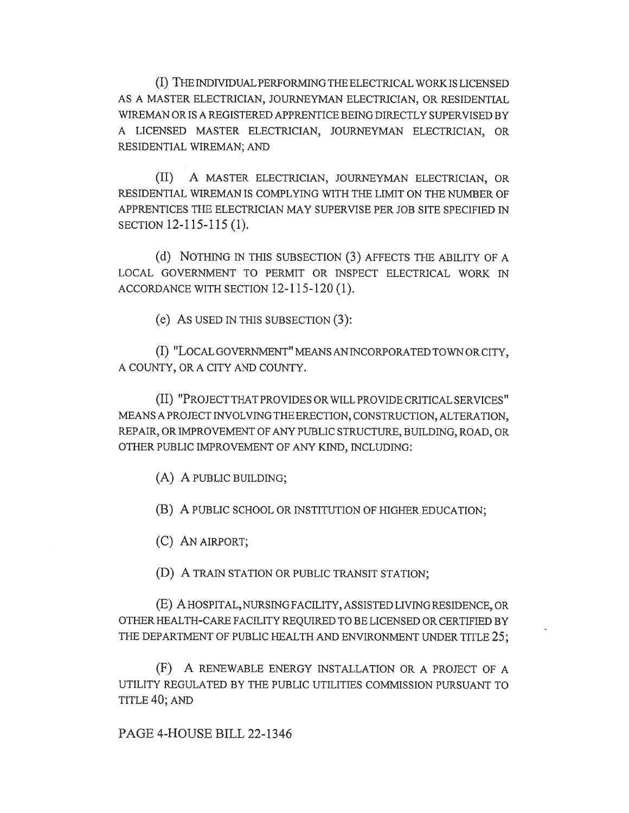(I) THE INDIVIDUAL PERFORMING THE ELECTRICAL WORK IS LICENSED AS A MASTER ELECTRICIAN, JOURNEYMAN ELECTRICIAN, OR RESIDENTIAL WIREMAN OR IS A REGISTERED APPRENTICE BEING DIRECTLY SUPERVISED BY A LICENSED MASTER ELECTRICIAN, JOURNEYMAN ELECTRICIAN, OR RESIDENTIAL WIREMAN; AND

(II) A MASTER ELECTRICIAN, JOURNEYMAN ELECTRICIAN, OR RESIDENTIAL WIREMAN IS COMPLYING WITH THE LIMIT ON THE NUMBER OF APPRENTICES THE ELECTRICIAN MAY SUPERVISE PER JOB SITE SPECIFIED IN SECTION 12-115-115 (1).

(d) NOTHING IN THIS SUBSECTION (3) AFFECTS THE ABILITY OF A LOCAL GOVERNMENT TO PERMIT OR INSPECT ELECTRICAL WORK IN ACCORDANCE WITH SECTION 12-115-120 (1).

(e) AS USED IN THIS SUBSECTION (3):

(I) "LOCAL GOVERNMENT" MEANS AN INCORPORATED TOWN OR CITY, A COUNTY, OR A CITY AND COUNTY.

(II) "PROJECT THAT PROVIDES OR WILL PROVIDE CRITICAL SERVICES" MEANS A PROJECT INVOLVING THE ERECTION, CONSTRUCTION, ALTERATION, REPAIR, OR IMPROVEMENT OF ANY PUBLIC STRUCTURE, BUILDING, ROAD, OR OTHER PUBLIC IMPROVEMENT OF ANY KIND, INCLUDING:

(A) A PUBLIC BUILDING;

(B) A PUBLIC SCHOOL OR INSTITUTION OF HIGHER EDUCATION;

(C) AN AIRPORT;

(D) A TRAIN STATION OR PUBLIC TRANSIT STATION;

(E) A HOSPITAL, NURSING FACILITY, ASSISTED LIVING RESIDENCE, OR OTHER HEALTH-CARE FACILITY REQUIRED TO BE LICENSED OR CERTIFIED BY THE DEPARTMENT OF PUBLIC HEALTH AND ENVIRONMENT UNDER TITLE 25;

(F) A RENEWABLE ENERGY INSTALLATION OR A PROJECT OF A UTILITY REGULATED BY THE PUBLIC UTILITIES COMMISSION PURSUANT TO TITLE 40; AND

PAGE 4-HOUSE BILL 22-1346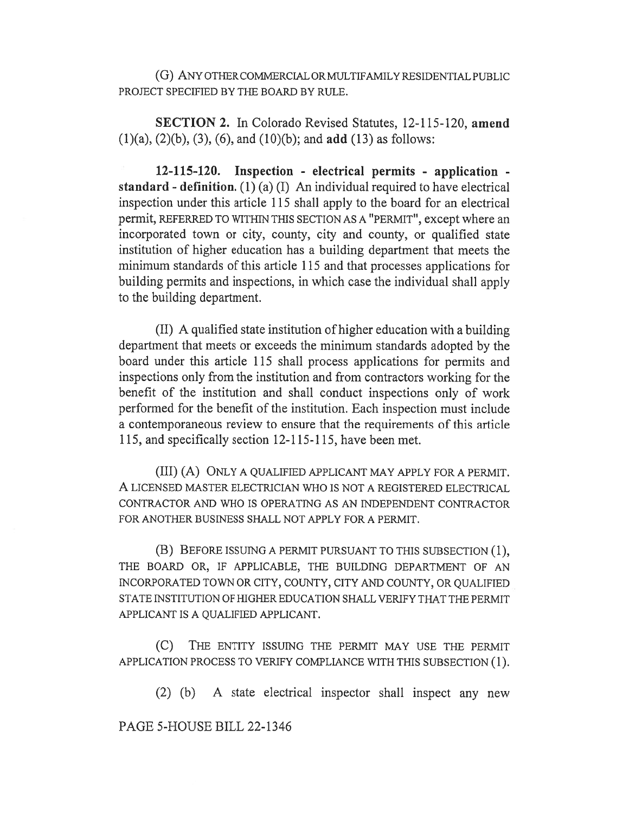(G) ANY OTHER COMMERCIAL OR MULTIFAMILY RESIDENTIAL PUBLIC PROJECT SPECIFIED BY THE BOARD BY RULE.

SECTION 2. In Colorado Revised Statutes, 12-115-120, amend  $(1)(a)$ ,  $(2)(b)$ ,  $(3)$ ,  $(6)$ , and  $(10)(b)$ ; and **add**  $(13)$  as follows:

12-115-120. Inspection - electrical permits - application standard - definition.  $(1)$   $(a)$   $(1)$  An individual required to have electrical inspection under this article 115 shall apply to the board for an electrical permit, REFERRED TO WITHIN THIS SECTION AS A "PERMIT", except where an incorporated town or city, county, city and county, or qualified state institution of higher education has a building department that meets the minimum standards of this article 115 and that processes applications for building permits and inspections, in which case the individual shall apply to the building department.

(II) A qualified state institution of higher education with a building department that meets or exceeds the minimum standards adopted by the board under this article 115 shall process applications for permits and inspections only from the institution and from contractors working for the benefit of the institution and shall conduct inspections only of work performed for the benefit of the institution. Each inspection must include a contemporaneous review to ensure that the requirements of this article 115, and specifically section 12-115-115, have been met.

(III) (A) ONLY A QUALIFIED APPLICANT MAY APPLY FOR A PERMIT. A LICENSED MASTER ELECTRICIAN WHO IS NOT A REGISTERED ELECTRICAL CONTRACTOR AND WHO IS OPERATING AS AN INDEPENDENT CONTRACTOR FOR ANOTHER BUSINESS SHALL NOT APPLY FOR A PERMIT.

(B) BEFORE ISSUING A PERMIT PURSUANT TO THIS SUBSECTION (1), THE BOARD OR, IF APPLICABLE, THE BUILDING DEPARTMENT OF AN INCORPORATED TOWN OR CITY, COUNTY, CITY AND COUNTY, OR QUALIFIED STATE INSTITUTION OF HIGHER EDUCATION SHALL VERIFY THAT THE PERMIT APPLICANT IS A QUALIFIED APPLICANT.

(C) THE ENTITY ISSUING THE PERMIT MAY USE THE PERMIT APPLICATION PROCESS TO VERIFY COMPLIANCE WITH THIS SUBSECTION (1).

(2) (b) A state electrical inspector shall inspect any new

PAGE 5-HOUSE BILL 22-1346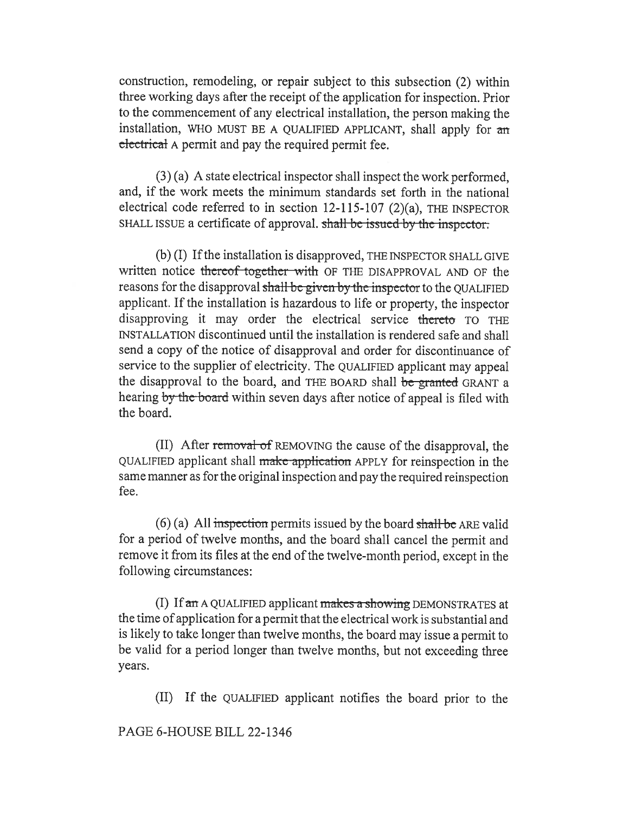construction, remodeling, or repair subject to this subsection (2) within three working days after the receipt of the application for inspection. Prior to the commencement of any electrical installation, the person making the installation, WHO MUST BE A QUALIFIED APPLICANT, shall apply for an electrical A permit and pay the required permit fee.

(3) (a) A state electrical inspector shall inspect the work performed, and, if the work meets the minimum standards set forth in the national electrical code referred to in section 12-115-107 (2)(a), THE INSPECTOR SHALL ISSUE a certificate of approval. shall be issued by the inspector.

(b) (I) If the installation is disapproved, THE INSPECTOR SHALL GIVE written notice thereof together with OF THE DISAPPROVAL AND OF the reasons for the disapproval shall be given by the inspector to the QUALIFIED applicant. If the installation is hazardous to life or property, the inspector disapproving it may order the electrical service thereto TO THE INSTALLATION discontinued until the installation is rendered safe and shall send a copy of the notice of disapproval and order for discontinuance of service to the supplier of electricity. The QUALIFIED applicant may appeal the disapproval to the board, and THE BOARD shall be granted GRANT a hearing by the board within seven days after notice of appeal is filed with the board.

(II) After removal of REMOVING the cause of the disapproval, the QUALIFIED applicant shall make application APPLY for reinspection in the same manner as for the original inspection and pay the required reinspection fee.

 $(6)$  (a) All inspection permits issued by the board shall be ARE valid for a period of twelve months, and the board shall cancel the permit and remove it from its files at the end of the twelve-month period, except in the following circumstances:

(I) If  $an A$  QUALIFIED applicant  $makes$  a showing DEMONSTRATES at the time of application for a permit that the electrical work is substantial and is likely to take longer than twelve months, the board may issue a permit to be valid for a period longer than twelve months, but not exceeding three years.

(II) If the QUALIFIED applicant notifies the board prior to the

# PAGE 6-HOUSE BILL 22-1346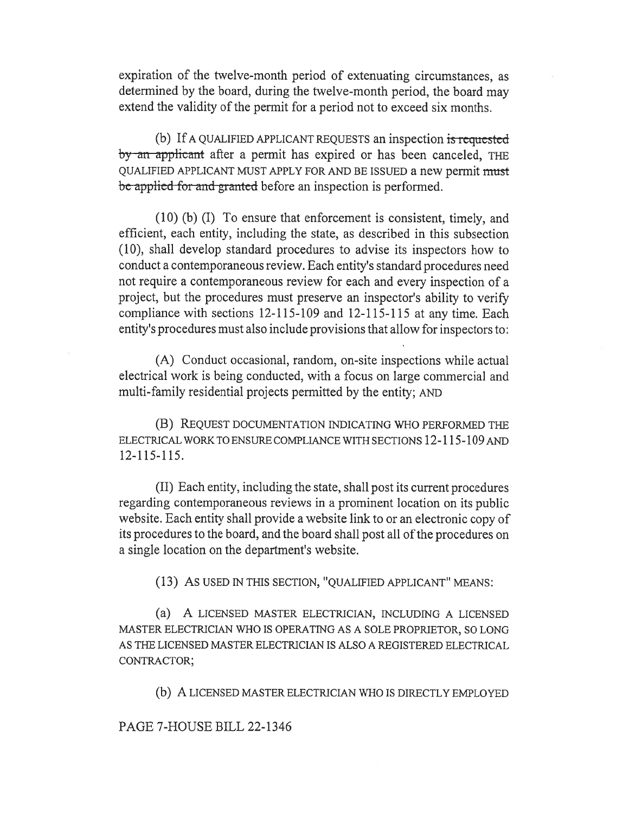expiration of the twelve-month period of extenuating circumstances, as determined by the board, during the twelve-month period, the board may extend the validity of the permit for a period not to exceed six months.

(b) If A QUALIFIED APPLICANT REQUESTS an inspection is requested by an applicant after a permit has expired or has been canceled, THE QUALIFIED APPLICANT MUST APPLY FOR AND BE ISSUED a new permit must be applied for and granted before an inspection is performed.

(10) (b) (I) To ensure that enforcement is consistent, timely, and efficient, each entity, including the state, as described in this subsection (10), shall develop standard procedures to advise its inspectors how to conduct a contemporaneous review. Each entity's standard procedures need not require a contemporaneous review for each and every inspection of a project, but the procedures must preserve an inspector's ability to verify compliance with sections 12-115-109 and 12-115-115 at any time. Each entity's procedures must also include provisions that allow for inspectors to:

(A) Conduct occasional, random, on-site inspections while actual electrical work is being conducted, with a focus on large commercial and multi-family residential projects permitted by the entity; AND

(B) REQUEST DOCUMENTATION INDICATING WHO PERFORMED THE ELECTRICAL WORK TO ENSURE COMPLIANCE WITH SECTIONS 12-115-109 AND 12-115-115.

(II) Each entity, including the state, shall post its current procedures regarding contemporaneous reviews in a prominent location on its public website. Each entity shall provide a website link to or an electronic copy of its procedures to the board, and the board shall post all of the procedures on a single location on the department's website.

(13) AS USED IN THIS SECTION, "QUALIFIED APPLICANT" MEANS:

(a) A LICENSED MASTER ELECTRICIAN, INCLUDING A LICENSED MASTER ELECTRICIAN WHO IS OPERATING AS A SOLE PROPRIETOR, SO LONG AS THE LICENSED MASTER ELECTRICIAN IS ALSO A REGISTERED ELECTRICAL CONTRACTOR;

(b) A LICENSED MASTER ELECTRICIAN WHO IS DIRECTLY EMPLOYED

#### PAGE 7-HOUSE BILL 22-1346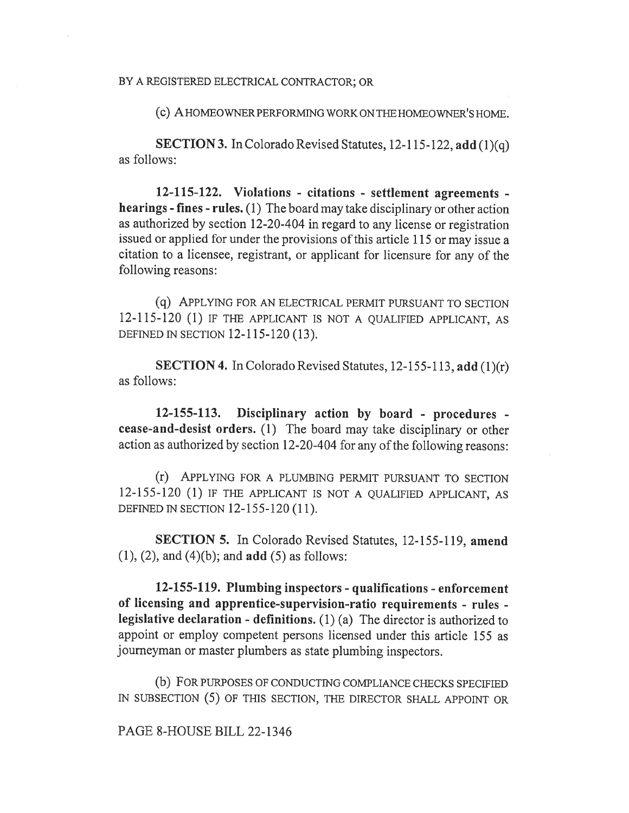BY A REGISTERED ELECTRICAL CONTRACTOR; OR

(c) A HOMEOWNER PERFORMING WORK ON THE HOMEOWNER'S HOME.

SECTION 3. In Colorado Revised Statutes, 12-115-122, add (1)(q) as follows:

12-115-122. Violations - citations - settlement agreements hearings - fines - rules. (1) The board may take disciplinary or other action as authorized by section 12-20-404 in regard to any license or registration issued or applied for under the provisions of this article 115 or may issue a citation to a licensee, registrant, or applicant for licensure for any of the following reasons:

(q) APPLYING FOR AN ELECTRICAL PERMIT PURSUANT TO SECTION 12-115-120 (1) IF THE APPLICANT IS NOT A QUALIFIED APPLICANT, AS DEFINED IN SECTION 12-115-120 (13).

SECTION 4. In Colorado Revised Statutes, 12-155-113, add (1)(r) as follows:

12-155-113. Disciplinary action by board - procedures cease-and-desist orders. (1) The board may take disciplinary or other action as authorized by section 12-20-404 for any of the following reasons:

(r) APPLYING FOR A PLUMBING PERMIT PURSUANT TO SECTION 12-155-120 (1) IF THE APPLICANT IS NOT A QUALIFIED APPLICANT, AS DEFINED IN SECTION 12-155-120 (11).

SECTION 5. In Colorado Revised Statutes, 12-155-119, amend  $(1)$ ,  $(2)$ , and  $(4)(b)$ ; and **add**  $(5)$  as follows:

12-155-119. Plumbing inspectors - qualifications - enforcement of licensing and apprentice-supervision-ratio requirements - rules legislative declaration - definitions. (1) (a) The director is authorized to appoint or employ competent persons licensed under this article 155 as journeyman or master plumbers as state plumbing inspectors.

(b) FOR PURPOSES OF CONDUCTING COMPLIANCE CHECKS SPECIFIED IN SUBSECTION (5) OF THIS SECTION, THE DIRECTOR SHALL APPOINT OR

PAGE 8-HOUSE BILL 22-1346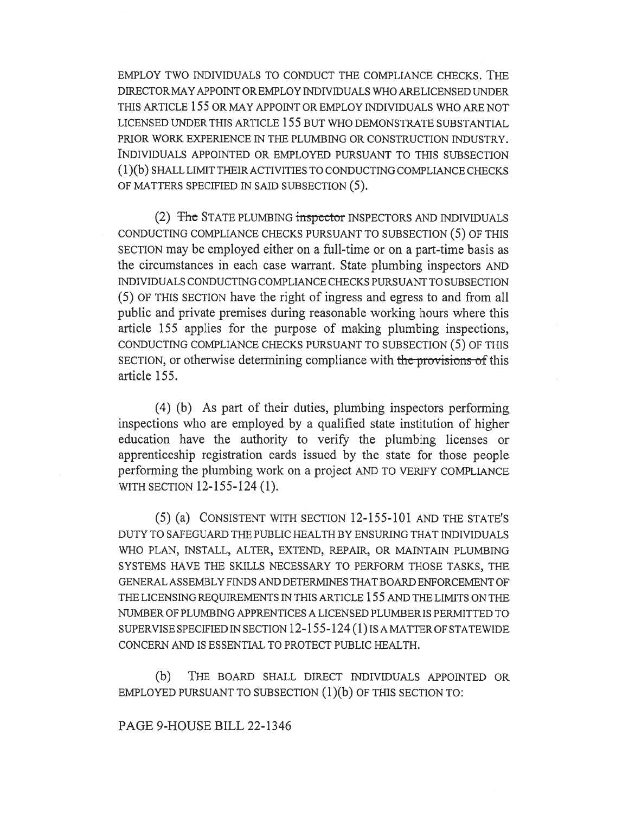EMPLOY TWO INDIVIDUALS TO CONDUCT THE COMPLIANCE CHECKS. THE DIRECTOR MAY APPOINT OR EMPLOY INDIVIDUALS WHO ARE LICENSED UNDER THIS ARTICLE 155 OR MAY APPOINT OR EMPLOY INDIVIDUALS WHO ARE NOT LICENSED UNDER THIS ARTICLE 155 BUT WHO DEMONSTRATE SUBSTANTIAL PRIOR WORK EXPERIENCE IN THE PLUMBING OR CONSTRUCTION INDUSTRY. INDIVIDUALS APPOINTED OR EMPLOYED PURSUANT TO THIS SUBSECTION ( 1 )(b) SHALL LIMIT THEIR ACTIVITIES TO CONDUCTING COMPLIANCE CHECKS OF MATTERS SPECIFIED IN SAID SUBSECTION (5).

(2) The STATE PLUMBING inspector INSPECTORS AND INDIVIDUALS CONDUCTING COMPLIANCE CHECKS PURSUANT TO SUBSECTION (5) OF THIS SECTION may be employed either on a full-time or on a part-time basis as the circumstances in each case warrant. State plumbing inspectors AND INDIVIDUALS CONDUCTING COMPLIANCE CHECKS PURSUANT TO SUBSECTION (5) OF THIS SECTION have the right of ingress and egress to and from all public and private premises during reasonable working hours where this article 155 applies for the purpose of making plumbing inspections, CONDUCTING COMPLIANCE CHECKS PURSUANT TO SUBSECTION (5) OF THIS SECTION, or otherwise determining compliance with the provisions of this article 155.

(4) (b) As part of their duties, plumbing inspectors performing inspections who are employed by a qualified state institution of higher education have the authority to verify the plumbing licenses or apprenticeship registration cards issued by the state for those people performing the plumbing work on a project AND TO VERIFY COMPLIANCE WITH SECTION 12-155-124 (1).

(5) (a) CONSISTENT WITH SECTION 12-155-101 AND THE STATE'S DUTY TO SAFEGUARD THE PUBLIC HEALTH BY ENSURING THAT INDIVIDUALS WHO PLAN, INSTALL, ALTER, EXTEND, REPAIR, OR MAINTAIN PLUMBING SYSTEMS HAVE THE SKILLS NECESSARY TO PERFORM THOSE TASKS, THE GENERAL ASSEMBLY FINDS AND DETERMINES THAT BOARD ENFORCEMENT OF THE LICENSING REQUIREMENTS IN THIS ARTICLE 155 AND THE LIMITS ON THE NUMBER OF PLUMBING APPRENTICES A LICENSED PLUMBER IS PERMITTED TO SUPERVISE SPECIFIED IN SECTION 12-155-124 (1) IS A MATTER OF STATEWIDE CONCERN AND IS ESSENTIAL TO PROTECT PUBLIC HEALTH.

(b) THE BOARD SHALL DIRECT INDIVIDUALS APPOINTED OR EMPLOYED PURSUANT TO SUBSECTION  $(1)(b)$  OF THIS SECTION TO:

## PAGE 9-HOUSE BILL 22-1346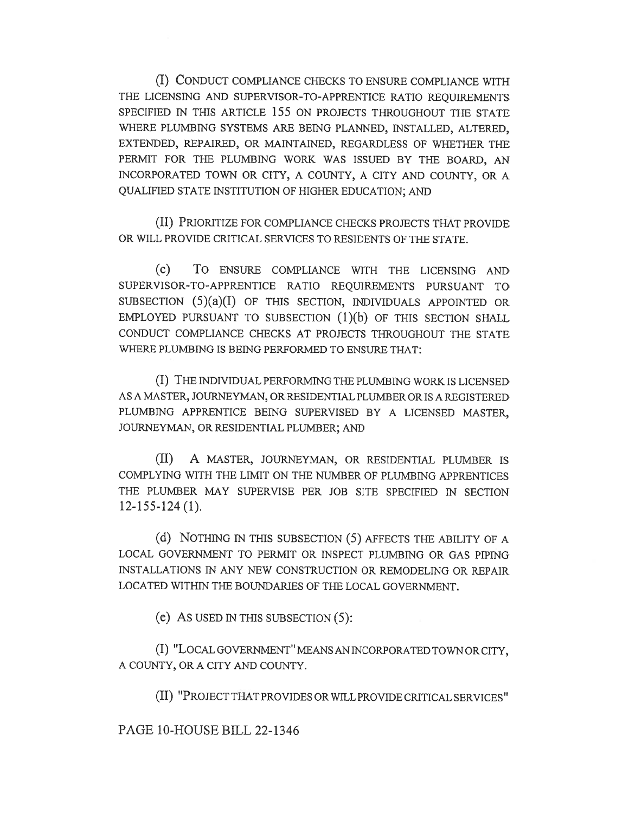(I) CONDUCT COMPLIANCE CHECKS TO ENSURE COMPLIANCE WITH THE LICENSING AND SUPERVISOR-TO-APPRENTICE RATIO REQUIREMENTS SPECIFIED IN THIS ARTICLE 155 ON PROJECTS THROUGHOUT THE STATE WHERE PLUMBING SYSTEMS ARE BEING PLANNED, INSTALLED, ALTERED, EXTENDED, REPAIRED, OR MAINTAINED, REGARDLESS OF WHETHER THE PERMIT FOR THE PLUMBING WORK WAS ISSUED BY THE BOARD, AN INCORPORATED TOWN OR CITY, A COUNTY, A CITY AND COUNTY, OR A QUALIFIED STATE INSTITUTION OF HIGHER EDUCATION; AND

(II) PRIORITIZE FOR COMPLIANCE CHECKS PROJECTS THAT PROVIDE OR WILL PROVIDE CRITICAL SERVICES TO RESIDENTS OF THE STATE.

(c) To ENSURE COMPLIANCE WITH THE LICENSING AND SUPERVISOR-TO-APPRENTICE RATIO REQUIREMENTS PURSUANT TO SUBSECTION  $(5)(a)(I)$  OF THIS SECTION, INDIVIDUALS APPOINTED OR EMPLOYED PURSUANT TO SUBSECTION (1)(b) OF THIS SECTION SHALL CONDUCT COMPLIANCE CHECKS AT PROJECTS THROUGHOUT THE STATE WHERE PLUMBING IS BEING PERFORMED TO ENSURE THAT:

(I) THE INDIVIDUAL PERFORMING THE PLUMBING WORK IS LICENSED AS A MASTER, JOURNEYMAN, OR RESIDENTIAL PLUMBER OR IS A REGISTERED PLUMBING APPRENTICE BEING SUPERVISED BY A LICENSED MASTER, JOURNEYMAN, OR RESIDENTIAL PLUMBER; AND

(II) A MASTER, JOURNEYMAN, OR RESIDENTIAL PLUMBER IS COMPLYING WITH THE LIMIT ON THE NUMBER OF PLUMBING APPRENTICES THE PLUMBER MAY SUPERVISE PER JOB SITE SPECIFIED IN SECTION 12-155-124 (1).

(d) NOTHING IN THIS SUBSECTION (5) AFFECTS THE ABILITY OF A LOCAL GOVERNMENT TO PERMIT OR INSPECT PLUMBING OR GAS PIPING INSTALLATIONS IN ANY NEW CONSTRUCTION OR REMODELING OR REPAIR LOCATED WITHIN THE BOUNDARIES OF THE LOCAL GOVERNMENT.

(e) AS USED IN THIS SUBSECTION (5):

(I) "LOCAL GOVERNMENT" MEANS AN INCORPORATED TOWN OR CITY, A COUNTY, OR A CITY AND COUNTY.

(II) "PROJECT THAT PROVIDES OR WILL PROVIDE CRITICAL SERVICES"

PAGE 10-HOUSE BILL 22-1346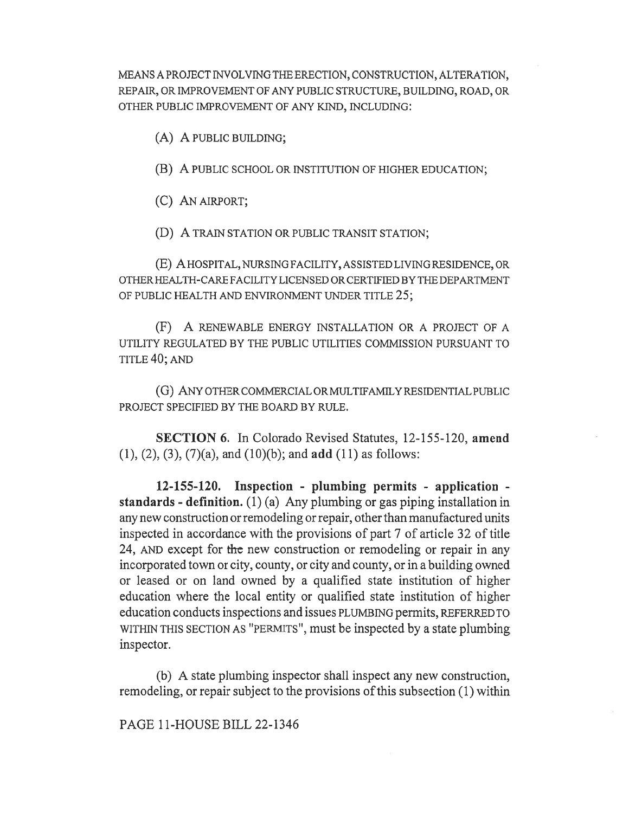MEANS A PROJECT INVOLVING THE ERECTION, CONSTRUCTION, ALTERATION, REPAIR, OR IMPROVEMENT OF ANY PUBLIC STRUCTURE, BUILDING, ROAD, OR OTHER PUBLIC IMPROVEMENT OF ANY KIND, INCLUDING:

(A) A PUBLIC BUILDING;

(B) A PUBLIC SCHOOL OR INSTITUTION OF HIGHER EDUCATION;

(C) AN AIRPORT;

(D) A TRAIN STATION OR PUBLIC TRANSIT STATION;

(E) A HOSPITAL, NURSING FACILITY, ASSISTED LIVING RESIDENCE, OR OTHER HEALTH-CARE FACILITY LICENSED OR CERTIFIED BY THE DEPARTMENT OF PUBLIC HEALTH AND ENVIRONMENT UNDER TITLE 25;

(F) A RENEWABLE ENERGY INSTALLATION OR A PROJECT OF A UTILITY REGULATED BY THE PUBLIC UTILITIES COMMISSION PURSUANT TO TITLE 40; AND

(G) ANY OTHER COMMERCIAL OR MULTIFAMILY RESIDENTIAL PUBLIC PROJECT SPECIFIED BY THE BOARD BY RULE.

SECTION 6. In Colorado Revised Statutes, 12-155-120, amend (1), (2), (3), (7)(a), and (10)(b); and add (11) as follows:

12-155-120. Inspection - plumbing permits - application standards - definition. (1) (a) Any plumbing or gas piping installation in any new construction or remodeling or repair, other than manufactured units inspected in accordance with the provisions of part 7 of article 32 of title 24, AND except for the new construction or remodeling or repair in any incorporated town or city, county, or city and county, or in a building owned or leased or on land owned by a qualified state institution of higher education where the local entity or qualified state institution of higher education conducts inspections and issues PLUMBING permits, REFERRED TO WITHIN THIS SECTION AS "PERMITS", must be inspected by a state plumbing inspector.

(b) A state plumbing inspector shall inspect any new construction, remodeling, or repair subject to the provisions of this subsection (1) within

PAGE 11-HOUSE BILL 22-1346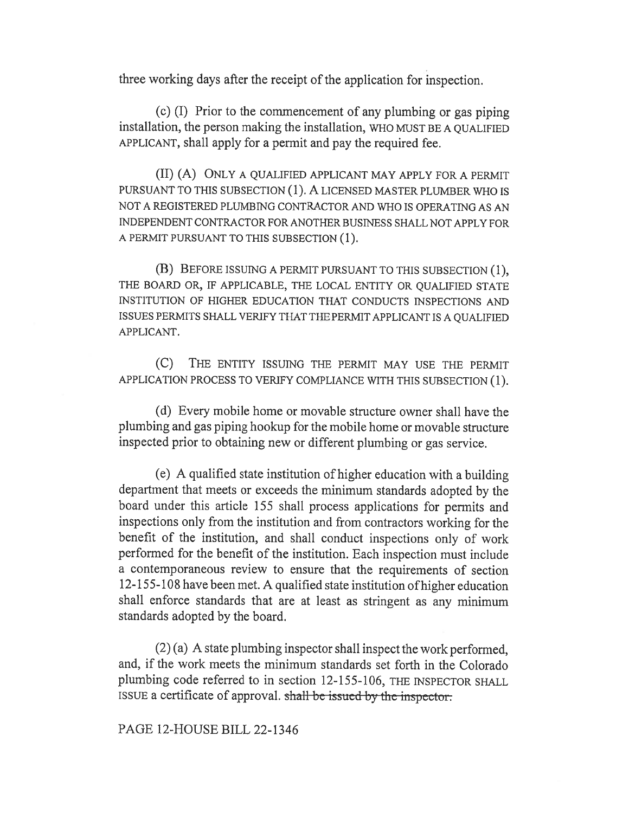three working days after the receipt of the application for inspection.

(c) (I) Prior to the commencement of any plumbing or gas piping installation, the person making the installation, WHO MUST BE A QUALIFIED APPLICANT, shall apply for a permit and pay the required fee.

(II) (A) ONLY A QUALIFIED APPLICANT MAY APPLY FOR A PERMIT PURSUANT TO THIS SUBSECTION (1). A LICENSED MASTER PLUMBER WHO IS NOT A REGISTERED PLUMBING CONTRACTOR AND WHO IS OPERATING AS AN INDEPENDENT CONTRACTOR FOR ANOTHER BUSINESS SHALL NOT APPLY FOR A PERMIT PURSUANT TO THIS SUBSECTION (1).

(B) BEFORE ISSUING A PERMIT PURSUANT TO THIS SUBSECTION (1), THE BOARD OR, IF APPLICABLE, THE LOCAL ENTITY OR QUALIFIED STATE INSTITUTION OF HIGHER EDUCATION THAT CONDUCTS INSPECTIONS AND ISSUES PERMITS SHALL VERIFY THAT THE PERMIT APPLICANT IS A QUALIFIED APPLICANT.

(C) THE ENTITY ISSUING THE PERMIT MAY USE THE PERMIT APPLICATION PROCESS TO VERIFY COMPLIANCE WITH THIS SUBSECTION (1).

(d) Every mobile home or movable structure owner shall have the plumbing and gas piping hookup for the mobile home or movable structure inspected prior to obtaining new or different plumbing or gas service.

(e) A qualified state institution of higher education with a building department that meets or exceeds the minimum standards adopted by the board under this article 155 shall process applications for permits and inspections only from the institution and from contractors working for the benefit of the institution, and shall conduct inspections only of work performed for the benefit of the institution. Each inspection must include a contemporaneous review to ensure that the requirements of section 12-155-108 have been met. A qualified state institution of higher education shall enforce standards that are at least as stringent as any minimum standards adopted by the board.

(2) (a) A state plumbing inspector shall inspect the work performed, and, if the work meets the minimum standards set forth in the Colorado plumbing code referred to in section 12-155-106, THE INSPECTOR SHALL ISSUE a certificate of approval. shall be issued by the inspector.

PAGE 12-HOUSE BILL 22-1346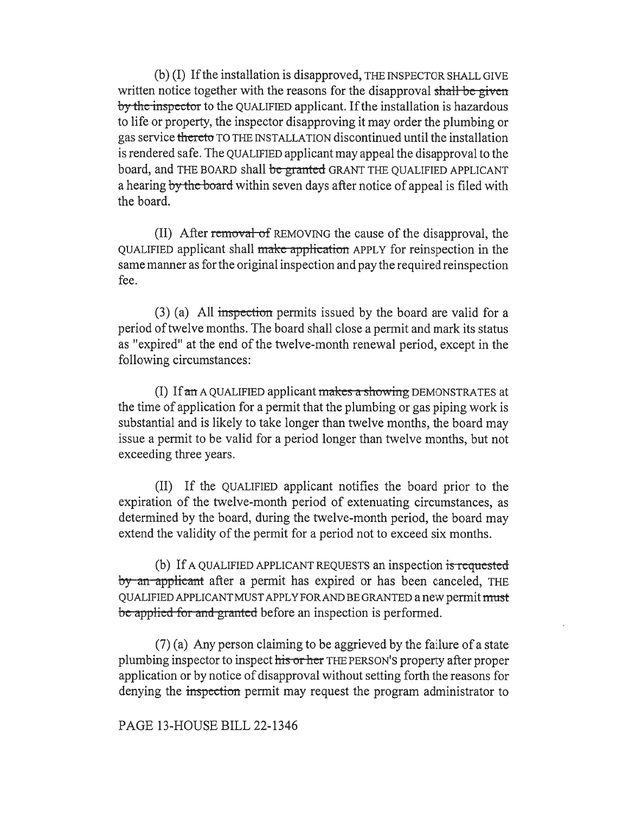(b) (I) If the installation is disapproved, THE INSPECTOR SHALL GIVE written notice together with the reasons for the disapproval shall be given by the inspector to the QUALIFIED applicant. If the installation is hazardous to life or property, the inspector disapproving it may order the plumbing or gas service thereto TO THE INSTALLATION discontinued until the installation is rendered safe. The QUALIFIED applicant may appeal the disapproval to the board, and THE BOARD shall be granted GRANT THE QUALIFIED APPLICANT a hearing by the board within seven days after notice of appeal is filed with the board.

(II) After removal of REMOVING the cause of the disapproval, the QUALIFIED applicant shall make-application APPLY for reinspection in the same manner as for the original inspection and pay the required reinspection fee.

(3) (a) All inspection permits issued by the board are valid for a period of twelve months. The board shall close a permit and mark its status as "expired" at the end of the twelve-month renewal period, except in the following circumstances:

(I) If  $\alpha$  A QUALIFIED applicant  $m$ akes a showing DEMONSTRATES at the time of application for a permit that the plumbing or gas piping work is substantial and is likely to take longer than twelve months, the board may issue a permit to be valid for a period longer than twelve months, but not exceeding three years.

(II) If the QUALIFIED applicant notifies the board prior to the expiration of the twelve-month period of extenuating circumstances, as determined by the board, during the twelve-month period, the board may extend the validity of the permit for a period not to exceed six months.

(b) If A QUALIFIED APPLICANT REQUESTS an inspection is requested by an applicant after a permit has expired or has been canceled, THE QUALIFIED APPLICANT MUST APPLY FOR AND BE GRANTED a new permit must be applied for and granted before an inspection is performed.

(7) (a) Any person claiming to be aggrieved by the failure of a state plumbing inspector to inspect his or her THE PERSON'S property after proper application or by notice of disapproval without setting forth the reasons for denying the inspection permit may request the program administrator to

PAGE 13-HOUSE BILL 22-1346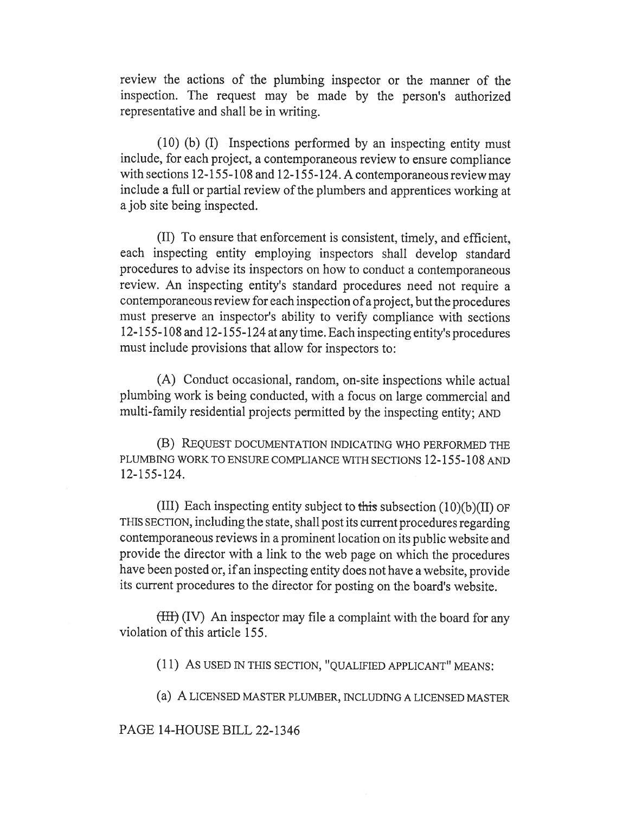review the actions of the plumbing inspector or the manner of the inspection. The request may be made by the person's authorized representative and shall be in writing.

(10) (b) (I) Inspections performed by an inspecting entity must include, for each project, a contemporaneous review to ensure compliance with sections 12-155-108 and 12-155-124. A contemporaneous review may include a full or partial review of the plumbers and apprentices working at a job site being inspected.

(II) To ensure that enforcement is consistent, timely, and efficient, each inspecting entity employing inspectors shall develop standard procedures to advise its inspectors on how to conduct a contemporaneous review. An inspecting entity's standard procedures need not require a contemporaneous review for each inspection of a project, but the procedures must preserve an inspector's ability to verify compliance with sections 12-155-108 and 12-155-124 at any time. Each inspecting entity's procedures must include provisions that allow for inspectors to:

(A) Conduct occasional, random, on-site inspections while actual plumbing work is being conducted, with a focus on large commercial and multi-family residential projects permitted by the inspecting entity; AND

(B) REQUEST DOCUMENTATION INDICATING WHO PERFORMED THE PLUMBING WORK TO ENSURE COMPLIANCE WITH SECTIONS 12-155-108 AND 12-155-124.

(III) Each inspecting entity subject to this subsection  $(10)(b)(II)$  OF THIS SECTION, including the state, shall post its current procedures regarding contemporaneous reviews in a prominent location on its public website and provide the director with a link to the web page on which the procedures have been posted or, if an inspecting entity does not have a website, provide its current procedures to the director for posting on the board's website.

(III) (IV) An inspector may file a complaint with the board for any violation of this article 155.

(11) AS USED IN THIS SECTION, "QUALIFIED APPLICANT" MEANS:

(a) A LICENSED MASTER PLUMBER, INCLUDING A LICENSED MASTER

### PAGE 14-HOUSE BILL 22-1346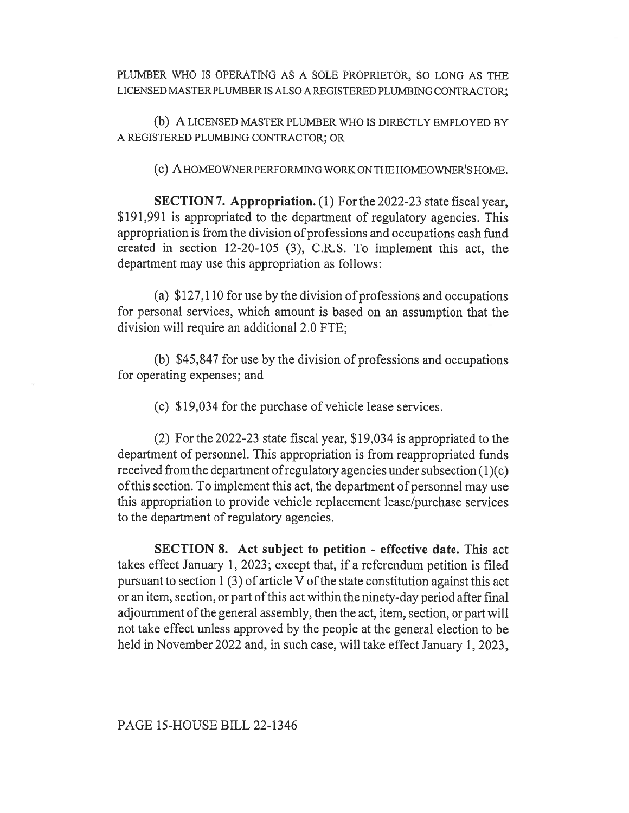PLUMBER WHO IS OPERATING AS A SOLE PROPRIETOR, SO LONG AS THE LICENSED MASTER PLUMBER IS ALSO A REGISTERED PLUMBING CONTRACTOR;

(b) A LICENSED MASTER PLUMBER WHO IS DIRECTLY EMPLOYED BY A REGISTERED PLUMBING CONTRACTOR; OR

(c) A HOMEOWNER PERFORMING WORK ON THE HOMEOWNER'S HOME.

SECTION 7. Appropriation. (1) For the 2022-23 state fiscal year, \$191,991 is appropriated to the department of regulatory agencies. This appropriation is from the division of professions and occupations cash fund created in section 12-20-105 (3), C.R.S. To implement this act, the department may use this appropriation as follows:

(a) \$127,110 for use by the division of professions and occupations for personal services, which amount is based on an assumption that the division will require an additional 2.0 FTE;

(b) \$45,847 for use by the division of professions and occupations for operating expenses; and

(c) \$19,034 for the purchase of vehicle lease services.

(2) For the 2022-23 state fiscal year, \$19,034 is appropriated to the department of personnel. This appropriation is from reappropriated funds received from the department of regulatory agencies under subsection (1)(c) of this section. To implement this act, the department of personnel may use this appropriation to provide vehicle replacement lease/purchase services to the department of regulatory agencies.

SECTION 8. Act subject to petition - effective date. This act takes effect January 1, 2023; except that, if a referendum petition is filed pursuant to section 1 (3) of article V of the state constitution against this act or an item, section, or part of this act within the ninety-day period after final adjournment of the general assembly, then the act, item, section, or part will not take effect unless approved by the people at the general election to be held in November 2022 and, in such case, will take effect January 1, 2023,